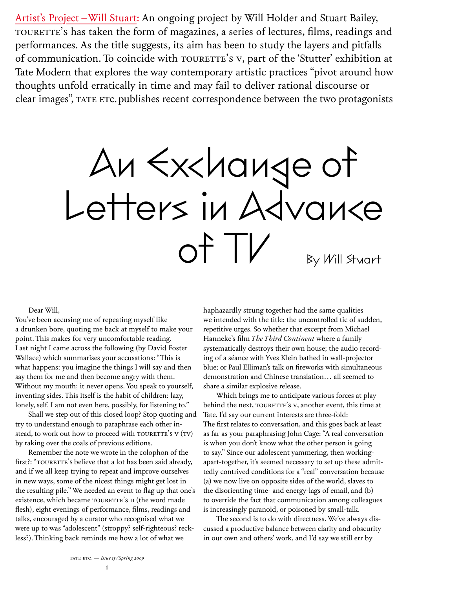Artist's Project – Will Stuart: An ongoing project by Will Holder and Stuart Bailey, TOURETTE'S has taken the form of magazines, a series of lectures, films, readings and performances. As the title suggests, its aim has been to study the layers and pitfalls of communication. To coincide with TOURETTE'S V, part of the 'Stutter' exhibition at Tate Modern that explores the way contemporary artistic practices "pivot around how thoughts unfold erratically in time and may fail to deliver rational discourse or clear images", TATE ETC. publishes recent correspondence between the two protagonists

An Exchange of Letters in Advance By Will Stuart

Dear Will,

You've been accusing me of repeating myself like a drunken bore, quoting me back at myself to make your point. This makes for very uncomfortable reading. Last night I came across the following (by David Foster Wallace) which summarises your accusations: "This is what happens: you imagine the things I will say and then say them for me and then become angry with them. Without my mouth; it never opens. You speak to yourself, inventing sides. This itself is the habit of children: lazy, lonely, self. I am not even here, possibly, for listening to."

Shall we step out of this closed loop? Stop quoting and try to understand enough to paraphrase each other instead, to work out how to proceed with TOURETTE'S V (TV) by raking over the coals of previous editions.

Remember the note we wrote in the colophon of the first?: "TOURETTE'S believe that a lot has been said already, and if we all keep trying to repeat and improve ourselves in new ways, some of the nicest things might get lost in the resulting pile." We needed an event to flag up that one's existence, which became TOURETTE'S II (the word made flesh), eight evenings of performance, films, readings and talks, encouraged by a curator who recognised what we were up to was "adolescent" (stroppy? self-righteous? reckless?). Thinking back reminds me how a lot of what we

haphazardly strung together had the same qualities we intended with the title: the uncontrolled tic of sudden, repetitive urges. So whether that excerpt from Michael Hanneke's film *The Third Continent* where a family systematically destroys their own house; the audio recording of a séance with Yves Klein bathed in wall-projector blue; or Paul Elliman's talk on fireworks with simultaneous demonstration and Chinese translation… all seemed to share a similar explosive release.

Which brings me to anticipate various forces at play behind the next, TOURETTE'S V, another event, this time at Tate. I'd say our current interests are three-fold: The first relates to conversation, and this goes back at least as far as your paraphrasing John Cage: "A real conversation is when you don't know what the other person is going to say." Since our adolescent yammering, then workingapart-together, it's seemed necessary to set up these admittedly contrived conditions for a "real" conversation because (a) we now live on opposite sides of the world, slaves to the disorienting time- and energy-lags of email, and (b) to override the fact that communication among colleagues is increasingly paranoid, or poisoned by small-talk.

The second is to do with directness. We've always discussed a productive balance between clarity and obscurity in our own and others' work, and I'd say we still err by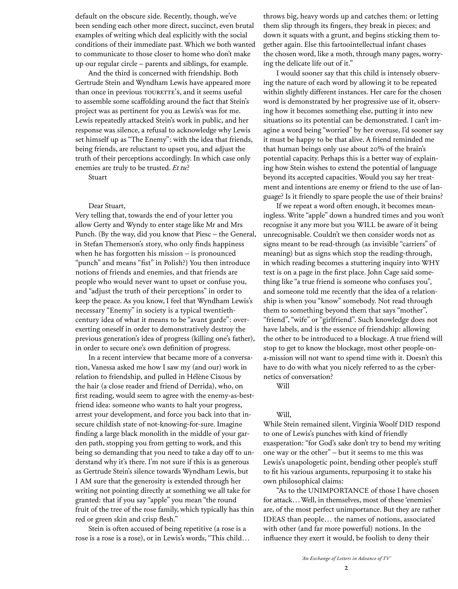default on the obscure side. Recently, though, we've been sending each other more direct, succinct, even brutal examples of writing which deal explicitly with the social conditions of their immediate past. Which we both wanted to communicate to those closer to home who don't make up our regular circle – parents and siblings, for example.

And the third is concerned with friendship. Both Gertrude Stein and Wyndham Lewis have appeared more than once in previous TOURETTE'S, and it seems useful to assemble some scaffolding around the fact that Stein's project was as pertinent for you as Lewis's was for me. Lewis repeatedly attacked Stein's work in public, and her response was silence, a refusal to acknowledge why Lewis set himself up as "The Enemy": with the idea that friends, being friends, are reluctant to upset you, and adjust the truth of their perceptions accordingly. In which case only enemies are truly to be trusted. *Et tu*?

Stuart

## Dear Stuart,

Very telling that, towards the end of your letter you allow Gerty and Wyndy to enter stage like Mr and Mrs Punch. (By the way, did you know that Piesc – the General, in Stefan Themerson's story, who only finds happiness when he has forgotten his mission – is pronounced "punch" and means "fist" in Polish?) You then introduce notions of friends and enemies, and that friends are people who would never want to upset or confuse you, and "adjust the truth of their perceptions" in order to keep the peace. As you know, I feel that Wyndham Lewis's necessary "Enemy" in society is a typical twentiethcentury idea of what it means to be "avant garde": overexerting oneself in order to demonstratively destroy the previous generation's idea of progress (killing one's father), in order to secure one's own definition of progress.

In a recent interview that became more of a conversation, Vanessa asked me how I saw my (and our) work in relation to friendship, and pulled in Hélène Cixous by the hair (a close reader and friend of Derrida), who, on first reading, would seem to agree with the enemy-as-bestfriend idea: someone who wants to halt your progress, arrest your development, and force you back into that insecure childish state of not-knowing-for-sure. Imagine finding a large black monolith in the middle of your garden path, stopping you from getting to work, and this being so demanding that you need to take a day off to understand why it's there. I'm not sure if this is as generous as Gertrude Stein's silence towards Wyndham Lewis, but I AM sure that the generosity is extended through her writing not pointing directly at something we all take for granted: that if you say "apple" you mean "the round fruit of the tree of the rose family, which typically has thin red or green skin and crisp flesh."

Stein is often accused of being repetitive (a rose is a rose is a rose is a rose), or in Lewis's words, "This child… throws big, heavy words up and catches them; or letting them slip through its fingers, they break in pieces; and down it squats with a grunt, and begins sticking them together again. Else this fartoointellectual infant chases the chosen word, like a moth, through many pages, worrying the delicate life out of it."

I would sooner say that this child is intensely observing the nature of each word by allowing it to be repeated within slightly different instances. Her care for the chosen word is demonstrated by her progressive use of it, observing how it becomes something else, putting it into new situations so its potential can be demonstrated. I can't imagine a word being "worried" by her overuse, I'd sooner say it must be happy to be that alive. A friend reminded me that human beings only use about 20% of the brain's potential capacity. Perhaps this is a better way of explaining how Stein wishes to extend the potential of language beyond its accepted capacities. Would you say her treatment and intentions are enemy or friend to the use of language? Is it friendly to spare people the use of their brains?

If we repeat a word often enough, it becomes meaningless. Write "apple" down a hundred times and you won't recognise it any more but you WILL be aware of it being unrecognisable. Couldn't we then consider words not as signs meant to be read-through (as invisible "carriers" of meaning) but as signs which stop the reading-through, in which reading becomes a stuttering inquiry into WHY text is on a page in the first place. John Cage said something like "a true friend is someone who confuses you", and someone told me recently that the idea of a relationship is when you "know" somebody. Not read through them to something beyond them that says "mother", "friend", "wife" or "girlfriend". Such knowledge does not have labels, and is the essence of friendship: allowing the other to be introduced to a blockage. A true friend will stop to get to know the blockage, most other people-ona-mission will not want to spend time with it. Doesn't this have to do with what you nicely referred to as the cybernetics of conversation?

Will

## Will,

While Stein remained silent, Virginia Woolf DID respond to one of Lewis's punches with kind of friendly exasperation: "for God's sake don't try to bend my writing one way or the other" – but it seems to me this was Lewis's unapologetic point, bending other people's stuff to fit his various arguments, repurposing it to stake his own philosophical claims:

"As to the UNIMPORTANCE of those I have chosen for attack… Well, in themselves, most of these 'enemies' are, of the most perfect unimportance. But they are rather IDEAS than people… the names of notions, associated with other (and far more powerful) notions. In the influence they exert it would, be foolish to deny their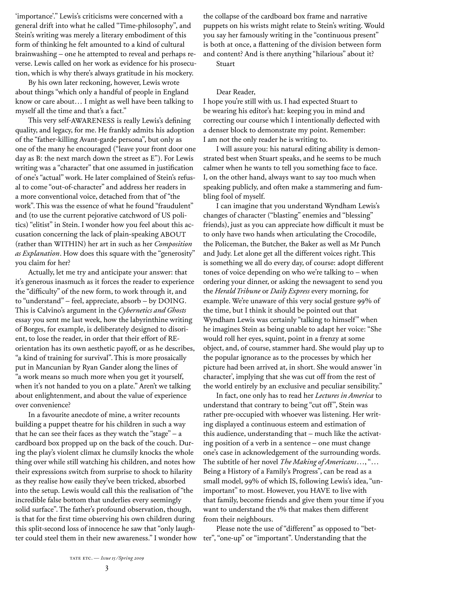'importance'." Lewis's criticisms were concerned with a general drift into what he called "Time-philosophy", and Stein's writing was merely a literary embodiment of this form of thinking he felt amounted to a kind of cultural brainwashing – one he attempted to reveal and perhaps reverse. Lewis called on her work as evidence for his prosecution, which is why there's always gratitude in his mockery.

By his own later reckoning, however, Lewis wrote about things "which only a handful of people in England know or care about… I might as well have been talking to myself all the time and that's a fact."

This very self-AWARENESS is really Lewis's defining quality, and legacy, for me. He frankly admits his adoption of the "father-killing Avant-garde persona", but only as one of the many he encouraged ("leave your front door one day as B: the next march down the street as E"). For Lewis writing was a "character" that one assumed in justification of one's "actual" work. He later complained of Stein's refusal to come "out-of-character" and address her readers in a more conventional voice, detached from that of "the work". This was the essence of what he found "fraudulent" and (to use the current pejorative catchword of US politics) "elitist" in Stein. I wonder how you feel about this accusation concerning the lack of plain-speaking ABOUT (rather than WITHIN) her art in such as her *Composition as Explanation*. How does this square with the "generosity" you claim for her?

Actually, let me try and anticipate your answer: that it's generous inasmuch as it forces the reader to experience the "difficulty" of the new form, to work through it, and to "understand" – feel, appreciate, absorb – by DOING. This is Calvino's argument in the *Cybernetics and Ghosts* essay you sent me last week, how the labyrinthine writing of Borges, for example, is deliberately designed to disorient, to lose the reader, in order that their effort of REorientation has its own aesthetic payoff, or as he describes, "a kind of training for survival". This is more prosaically put in Mancunian by Ryan Gander along the lines of "a work means so much more when you get it yourself, when it's not handed to you on a plate." Aren't we talking about enlightenment, and about the value of experience over convenience?

In a favourite anecdote of mine, a writer recounts building a puppet theatre for his children in such a way that he can see their faces as they watch the "stage" – a cardboard box propped up on the back of the couch. During the play's violent climax he clumsily knocks the whole thing over while still watching his children, and notes how their expressions switch from surprise to shock to hilarity as they realise how easily they've been tricked, absorbed into the setup. Lewis would call this the realisation of "the incredible false bottom that underlies every seemingly solid surface". The father's profound observation, though, is that for the first time observing his own children during this split-second loss of innocence he saw that "only laughter could steel them in their new awareness." I wonder how

the collapse of the cardboard box frame and narrative puppets on his wrists might relate to Stein's writing. Would you say her famously writing in the "continuous present" is both at once, a flattening of the division between form and content? And is there anything "hilarious" about it? Stuart

## Dear Reader,

I hope you're still with us. I had expected Stuart to be wearing his editor's hat: keeping you in mind and correcting our course which I intentionally deflected with a denser block to demonstrate my point. Remember: I am not the only reader he is writing to.

I will assure you: his natural editing ability is demonstrated best when Stuart speaks, and he seems to be much calmer when he wants to tell you something face to face. I, on the other hand, always want to say too much when speaking publicly, and often make a stammering and fumbling fool of myself.

I can imagine that you understand Wyndham Lewis's changes of character ("blasting" enemies and "blessing" friends), just as you can appreciate how difficult it must be to only have two hands when articulating the Crocodile, the Policeman, the Butcher, the Baker as well as Mr Punch and Judy. Let alone get all the different voices right. This is something we all do every day, of course: adopt different tones of voice depending on who we're talking to – when ordering your dinner, or asking the newsagent to send you the *Herald Tribune* or *Daily Express* every morning, for example. We're unaware of this very social gesture 99% of the time, but I think it should be pointed out that Wyndham Lewis was certainly "talking to himself" when he imagines Stein as being unable to adapt her voice: "She would roll her eyes, squint, point in a frenzy at some object, and, of course, stammer hard. She would play up to the popular ignorance as to the processes by which her picture had been arrived at, in short. She would answer 'in character', implying that she was cut off from the rest of the world entirely by an exclusive and peculiar sensibility."

In fact, one only has to read her *Lectures in America* to understand that contrary to being "cut off", Stein was rather pre-occupied with whoever was listening. Her writing displayed a continuous esteem and estimation of this audience, understanding that – much like the activating position of a verb in a sentence – one must change one's case in acknowledgement of the surrounding words. The subtitle of her novel *The Making of Americans*…, "… Being a History of a Family's Progress", can be read as a small model, 99% of which IS, following Lewis's idea, "unimportant" to most. However, you HAVE to live with that family, become friends and give them your time if you want to understand the 1% that makes them different from their neighbours.

Please note the use of "different" as opposed to "better", "one-up" or "important". Understanding that the